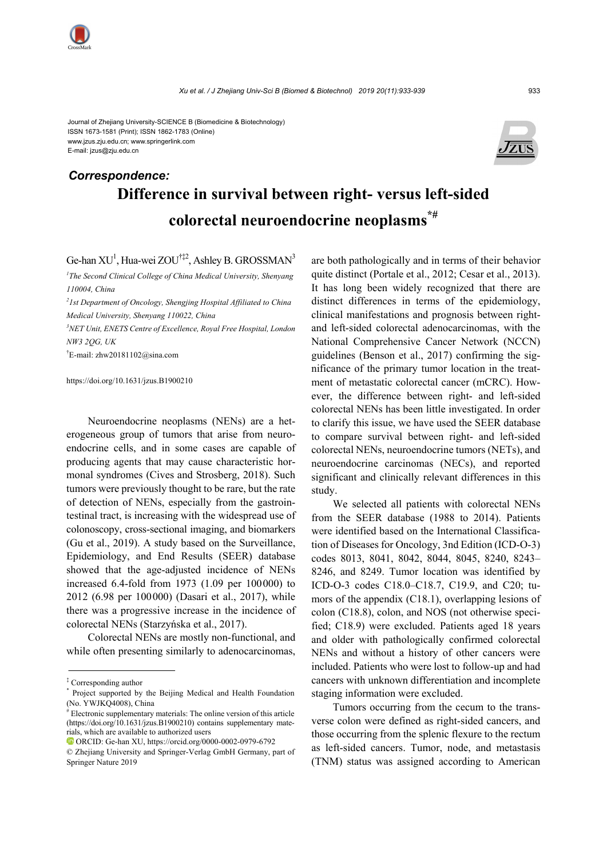

Journal of Zhejiang University-SCIENCE B (Biomedicine & Biotechnology) ISSN 1673-1581 (Print); ISSN 1862-1783 (Online) www.jzus.zju.edu.cn; www.springerlink.com E-mail: jzus@zju.edu.cn



# **Difference in survival between right- versus left-sided colorectal neuroendocrine neoplasms\*#** *Correspondence:*

Ge-han XU<sup>1</sup>, Hua-wei ZOU<sup>†‡2</sup>, Ashley B. GROSSMAN<sup>3</sup>

*1 The Second Clinical College of China Medical University, Shenyang 110004, China* 

*2 1st Department of Oncology, Shengjing Hospital Affiliated to China Medical University, Shenyang 110022, China* 

*3 NET Unit, ENETS Centre of Excellence, Royal Free Hospital, London NW3 2QG, UK* 

† E-mail: zhw20181102@sina.com

#### https://doi.org/10.1631/jzus.B1900210

Neuroendocrine neoplasms (NENs) are a heterogeneous group of tumors that arise from neuroendocrine cells, and in some cases are capable of producing agents that may cause characteristic hormonal syndromes (Cives and Strosberg, 2018). Such tumors were previously thought to be rare, but the rate of detection of NENs, especially from the gastrointestinal tract, is increasing with the widespread use of colonoscopy, cross-sectional imaging, and biomarkers (Gu et al., 2019). A study based on the Surveillance, Epidemiology, and End Results (SEER) database showed that the age-adjusted incidence of NENs increased 6.4-fold from 1973 (1.09 per 100000) to 2012 (6.98 per 100000) (Dasari et al., 2017), while there was a progressive increase in the incidence of colorectal NENs (Starzyńska et al., 2017).

Colorectal NENs are mostly non-functional, and while often presenting similarly to adenocarcinomas,

are both pathologically and in terms of their behavior quite distinct (Portale et al., 2012; Cesar et al., 2013). It has long been widely recognized that there are distinct differences in terms of the epidemiology, clinical manifestations and prognosis between rightand left-sided colorectal adenocarcinomas, with the National Comprehensive Cancer Network (NCCN) guidelines (Benson et al., 2017) confirming the significance of the primary tumor location in the treatment of metastatic colorectal cancer (mCRC). However, the difference between right- and left-sided colorectal NENs has been little investigated. In order to clarify this issue, we have used the SEER database to compare survival between right- and left-sided colorectal NENs, neuroendocrine tumors (NETs), and neuroendocrine carcinomas (NECs), and reported significant and clinically relevant differences in this study.

We selected all patients with colorectal NENs from the SEER database (1988 to 2014). Patients were identified based on the International Classification of Diseases for Oncology, 3nd Edition (ICD-O-3) codes 8013, 8041, 8042, 8044, 8045, 8240, 8243– 8246, and 8249. Tumor location was identified by ICD-O-3 codes C18.0–C18.7, C19.9, and C20; tumors of the appendix (C18.1), overlapping lesions of colon (C18.8), colon, and NOS (not otherwise specified; C18.9) were excluded. Patients aged 18 years and older with pathologically confirmed colorectal NENs and without a history of other cancers were included. Patients who were lost to follow-up and had cancers with unknown differentiation and incomplete staging information were excluded.

Tumors occurring from the cecum to the transverse colon were defined as right-sided cancers, and those occurring from the splenic flexure to the rectum as left-sided cancers. Tumor, node, and metastasis (TNM) status was assigned according to American

<sup>‡</sup> Corresponding author

<sup>\*</sup> Project supported by the Beijing Medical and Health Foundation (No. YWJKQ4008), China

<sup>#</sup> Electronic supplementary materials: The online version of this article (https://doi.org/10.1631/jzus.B1900210) contains supplementary materials, which are available to authorized users

ORCID: Ge-han XU, https://orcid.org/0000-0002-0979-6792

<sup>©</sup> Zhejiang University and Springer-Verlag GmbH Germany, part of Springer Nature 2019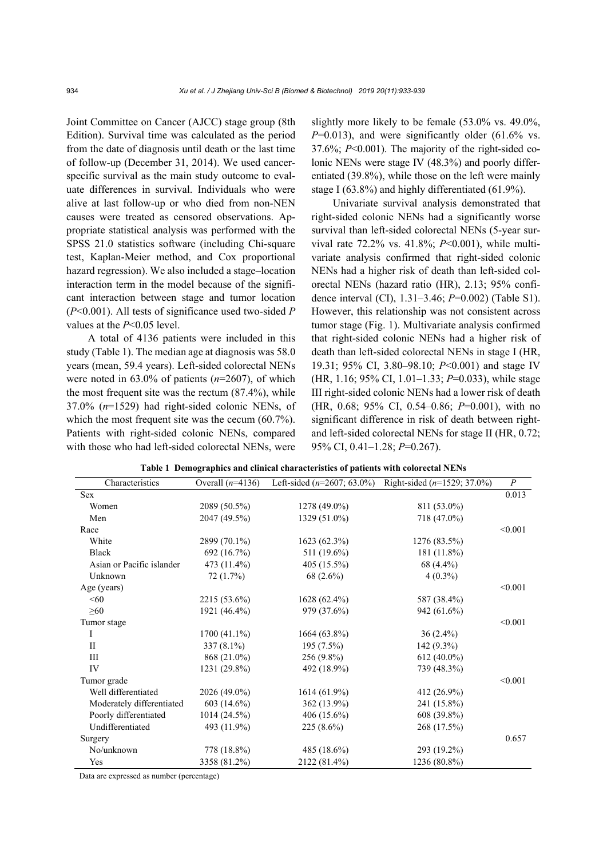Joint Committee on Cancer (AJCC) stage group (8th Edition). Survival time was calculated as the period from the date of diagnosis until death or the last time of follow-up (December 31, 2014). We used cancerspecific survival as the main study outcome to evaluate differences in survival. Individuals who were alive at last follow-up or who died from non-NEN causes were treated as censored observations. Appropriate statistical analysis was performed with the SPSS 21.0 statistics software (including Chi-square test, Kaplan-Meier method, and Cox proportional hazard regression). We also included a stage–location interaction term in the model because of the significant interaction between stage and tumor location (*P*<0.001). All tests of significance used two-sided *P* values at the *P*<0.05 level.

A total of 4136 patients were included in this study (Table 1). The median age at diagnosis was 58.0 years (mean, 59.4 years). Left-sided colorectal NENs were noted in 63.0% of patients (*n*=2607), of which the most frequent site was the rectum (87.4%), while 37.0% (*n*=1529) had right-sided colonic NENs, of which the most frequent site was the cecum (60.7%). Patients with right-sided colonic NENs, compared with those who had left-sided colorectal NENs, were

slightly more likely to be female (53.0% vs. 49.0%,  $P=0.013$ ), and were significantly older  $(61.6\%$  vs. 37.6%; *P*<0.001). The majority of the right-sided colonic NENs were stage IV (48.3%) and poorly differentiated (39.8%), while those on the left were mainly stage I (63.8%) and highly differentiated (61.9%).

Univariate survival analysis demonstrated that right-sided colonic NENs had a significantly worse survival than left-sided colorectal NENs (5-year survival rate 72.2% vs. 41.8%; *P*<0.001), while multivariate analysis confirmed that right-sided colonic NENs had a higher risk of death than left-sided colorectal NENs (hazard ratio (HR), 2.13; 95% confidence interval (CI), 1.31–3.46; *P*=0.002) (Table S1). However, this relationship was not consistent across tumor stage (Fig. 1). Multivariate analysis confirmed that right-sided colonic NENs had a higher risk of death than left-sided colorectal NENs in stage I (HR, 19.31; 95% CI, 3.80–98.10; *P*<0.001) and stage IV (HR, 1.16; 95% CI, 1.01–1.33; *P*=0.033), while stage III right-sided colonic NENs had a lower risk of death (HR, 0.68; 95% CI, 0.54–0.86; *P*=0.001), with no significant difference in risk of death between rightand left-sided colorectal NENs for stage II (HR, 0.72; 95% CI, 0.41–1.28; *P*=0.267).

| Characteristics           | Overall $(n=4136)$ | Left-sided $(n=2607; 63.0\%)$ | Right-sided $(n=1529; 37.0\%)$ | $\boldsymbol{P}$ |
|---------------------------|--------------------|-------------------------------|--------------------------------|------------------|
| Sex                       |                    |                               |                                | 0.013            |
| Women                     | 2089 (50.5%)       | 1278 (49.0%)                  | 811 (53.0%)                    |                  |
| Men                       | 2047 (49.5%)       | 1329 (51.0%)                  | 718 (47.0%)                    |                  |
| Race                      |                    |                               |                                | < 0.001          |
| White                     | 2899 (70.1%)       | 1623(62.3%)                   | 1276 (83.5%)                   |                  |
| <b>Black</b>              | 692 (16.7%)        | 511 (19.6%)                   | 181 (11.8%)                    |                  |
| Asian or Pacific islander | 473 (11.4%)        | 405 $(15.5\%)$                | 68 (4.4%)                      |                  |
| Unknown                   | 72(1.7%)           | 68 (2.6%)                     | $4(0.3\%)$                     |                  |
| Age (years)               |                    |                               |                                | < 0.001          |
| < 60                      | 2215 (53.6%)       | $1628(62.4\%)$                | 587 (38.4%)                    |                  |
| $\geq 60$                 | 1921 (46.4%)       | 979 (37.6%)                   | 942 (61.6%)                    |                  |
| Tumor stage               |                    |                               |                                | < 0.001          |
| I                         | $1700(41.1\%)$     | $1664(63.8\%)$                | $36(2.4\%)$                    |                  |
| $\mathbf{I}$              | 337 $(8.1\%)$      | $195(7.5\%)$                  | $142(9.3\%)$                   |                  |
| III                       | 868 (21.0%)        | $256(9.8\%)$                  | $612(40.0\%)$                  |                  |
| IV                        | 1231 (29.8%)       | 492 (18.9%)                   | 739 (48.3%)                    |                  |
| Tumor grade               |                    |                               |                                | < 0.001          |
| Well differentiated       | 2026 (49.0%)       | $1614(61.9\%)$                | 412 (26.9%)                    |                  |
| Moderately differentiated | $603(14.6\%)$      | $362(13.9\%)$                 | 241 (15.8%)                    |                  |
| Poorly differentiated     | 1014 (24.5%)       | $406(15.6\%)$                 | 608 (39.8%)                    |                  |
| Undifferentiated          | 493 (11.9%)        | $225(8.6\%)$                  | 268 (17.5%)                    |                  |
| Surgery                   |                    |                               |                                | 0.657            |
| No/unknown                | 778 (18.8%)        | 485 (18.6%)                   | 293 (19.2%)                    |                  |
| Yes                       | 3358 (81.2%)       | 2122 (81.4%)                  | 1236 (80.8%)                   |                  |

**Table 1 Demographics and clinical characteristics of patients with colorectal NENs** 

Data are expressed as number (percentage)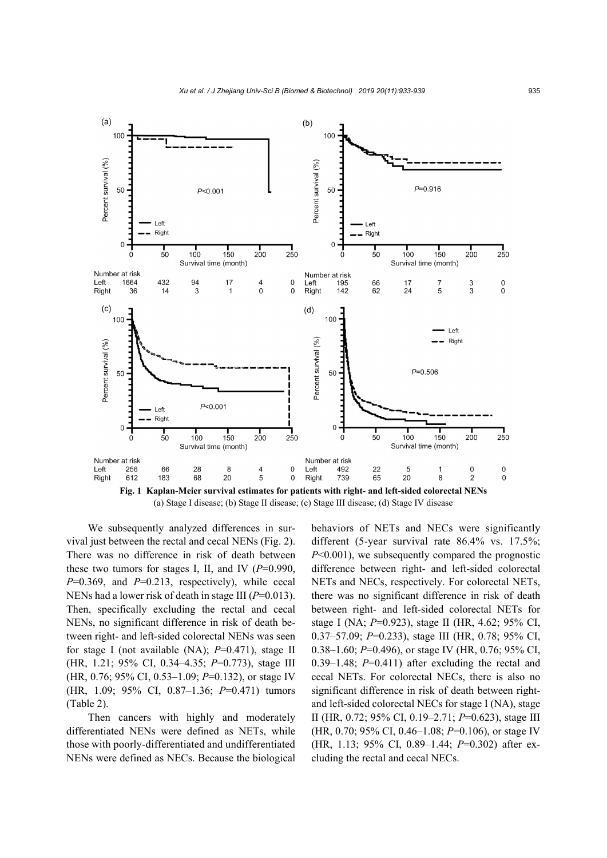



We subsequently analyzed differences in survival just between the rectal and cecal NENs (Fig. 2). There was no difference in risk of death between these two tumors for stages I, II, and IV (*P*=0.990, *P*=0.369, and *P*=0.213, respectively), while cecal NENs had a lower risk of death in stage III (*P*=0.013). Then, specifically excluding the rectal and cecal NENs, no significant difference in risk of death between right- and left-sided colorectal NENs was seen for stage I (not available (NA); *P*=0.471), stage II (HR, 1.21; 95% CI, 0.34–4.35; *P*=0.773), stage III (HR, 0.76; 95% CI, 0.53–1.09; *P*=0.132), or stage IV (HR, 1.09; 95% CI, 0.87–1.36; *P*=0.471) tumors (Table 2).

Then cancers with highly and moderately differentiated NENs were defined as NETs, while those with poorly-differentiated and undifferentiated NENs were defined as NECs. Because the biological behaviors of NETs and NECs were significantly different (5-year survival rate 86.4% vs. 17.5%; *P*<0.001), we subsequently compared the prognostic difference between right- and left-sided colorectal NETs and NECs, respectively. For colorectal NETs, there was no significant difference in risk of death between right- and left-sided colorectal NETs for stage I (NA; *P*=0.923), stage II (HR, 4.62; 95% CI, 0.37–57.09; *P*=0.233), stage III (HR, 0.78; 95% CI, 0.38–1.60; *P*=0.496), or stage IV (HR, 0.76; 95% CI, 0.39–1.48; *P*=0.411) after excluding the rectal and cecal NETs. For colorectal NECs, there is also no significant difference in risk of death between rightand left-sided colorectal NECs for stage I (NA), stage II (HR, 0.72; 95% CI, 0.19–2.71; *P*=0.623), stage III (HR, 0.70; 95% CI, 0.46–1.08; *P*=0.106), or stage IV (HR, 1.13; 95% CI, 0.89–1.44; *P*=0.302) after excluding the rectal and cecal NECs.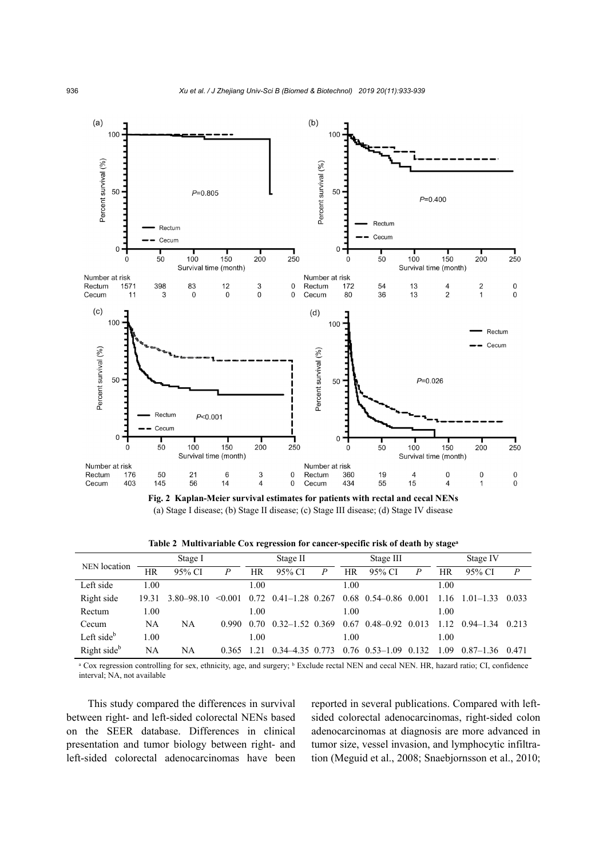

**Fig. 2 Kaplan-Meier survival estimates for patients with rectal and cecal NENs**  (a) Stage I disease; (b) Stage II disease; (c) Stage III disease; (d) Stage IV disease

Table 2 Multivariable Cox regression for cancer-specific risk of death by stage<sup>®</sup>

| NEN location            | Stage I |                | Stage II     |      | Stage III             |   | Stage IV |                              |       |       |               |       |
|-------------------------|---------|----------------|--------------|------|-----------------------|---|----------|------------------------------|-------|-------|---------------|-------|
|                         | HR      | 95% CI         | P            | HR   | 95% CI                | P | HR       | 95% CI                       | P     | HR    | 95% CI        | P     |
| Left side               | 1.00    |                |              | 1.00 |                       |   | 1.00     |                              |       | 1.00  |               |       |
| Right side              | 19 31   | $3,80 - 98,10$ | $\leq 0.001$ | 0.72 | $0.41 - 1.28$ 0.267   |   |          | $0.68$ $0.54 - 0.86$ $0.001$ |       | 1.16  | $101 - 133$   | 0.033 |
| Rectum                  | 1.00    |                |              | 1.00 |                       |   | 1.00     |                              |       | 1.00  |               |       |
| Cecum                   | NА      | NA             | 0.990        | 0.70 | $0.32 - 1.52$ $0.369$ |   | 0.67     | 0.48–0.92                    | 0.013 | 1 1 2 | $0.94 - 1.34$ | 0.213 |
| Left side $b$           | 1.00    |                |              | 1.00 |                       |   | 1.00     |                              |       | 1.00  |               |       |
| Right side <sup>b</sup> | NA      | NA             | 0.365        |      | $0.34 - 4.35$ $0.773$ |   |          | $0.76 \quad 0.53 - 1.09$     | 0.132 | 109   | $0.87 - 1.36$ | 0.471 |

<sup>a</sup> Cox regression controlling for sex, ethnicity, age, and surgery; <sup>b</sup> Exclude rectal NEN and cecal NEN. HR, hazard ratio; CI, confidence interval; NA, not available

This study compared the differences in survival between right- and left-sided colorectal NENs based on the SEER database. Differences in clinical presentation and tumor biology between right- and left-sided colorectal adenocarcinomas have been reported in several publications. Compared with leftsided colorectal adenocarcinomas, right-sided colon adenocarcinomas at diagnosis are more advanced in tumor size, vessel invasion, and lymphocytic infiltration (Meguid et al., 2008; Snaebjornsson et al., 2010;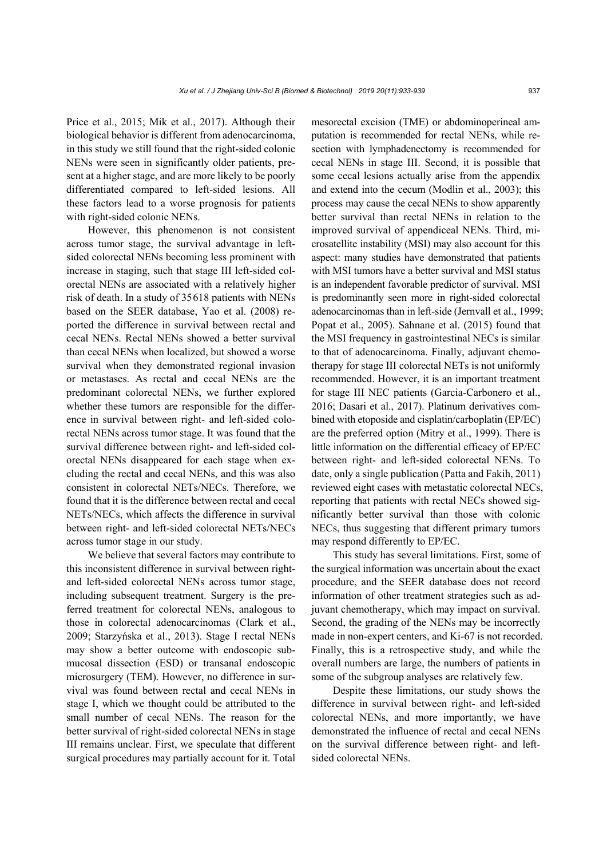Price et al., 2015; Mik et al., 2017). Although their biological behavior is different from adenocarcinoma, in this study we still found that the right-sided colonic NENs were seen in significantly older patients, present at a higher stage, and are more likely to be poorly differentiated compared to left-sided lesions. All these factors lead to a worse prognosis for patients with right-sided colonic NENs.

However, this phenomenon is not consistent across tumor stage, the survival advantage in leftsided colorectal NENs becoming less prominent with increase in staging, such that stage III left-sided colorectal NENs are associated with a relatively higher risk of death. In a study of 35618 patients with NENs based on the SEER database, Yao et al. (2008) reported the difference in survival between rectal and cecal NENs. Rectal NENs showed a better survival than cecal NENs when localized, but showed a worse survival when they demonstrated regional invasion or metastases. As rectal and cecal NENs are the predominant colorectal NENs, we further explored whether these tumors are responsible for the difference in survival between right- and left-sided colorectal NENs across tumor stage. It was found that the survival difference between right- and left-sided colorectal NENs disappeared for each stage when excluding the rectal and cecal NENs, and this was also consistent in colorectal NETs/NECs. Therefore, we found that it is the difference between rectal and cecal NETs/NECs, which affects the difference in survival between right- and left-sided colorectal NETs/NECs across tumor stage in our study.

We believe that several factors may contribute to this inconsistent difference in survival between rightand left-sided colorectal NENs across tumor stage, including subsequent treatment. Surgery is the preferred treatment for colorectal NENs, analogous to those in colorectal adenocarcinomas (Clark et al., 2009; Starzyńska et al., 2013). Stage I rectal NENs may show a better outcome with endoscopic submucosal dissection (ESD) or transanal endoscopic microsurgery (TEM). However, no difference in survival was found between rectal and cecal NENs in stage I, which we thought could be attributed to the small number of cecal NENs. The reason for the better survival of right-sided colorectal NENs in stage III remains unclear. First, we speculate that different surgical procedures may partially account for it. Total mesorectal excision (TME) or abdominoperineal amputation is recommended for rectal NENs, while resection with lymphadenectomy is recommended for cecal NENs in stage III. Second, it is possible that some cecal lesions actually arise from the appendix and extend into the cecum (Modlin et al., 2003); this process may cause the cecal NENs to show apparently better survival than rectal NENs in relation to the improved survival of appendiceal NENs. Third, microsatellite instability (MSI) may also account for this aspect: many studies have demonstrated that patients with MSI tumors have a better survival and MSI status is an independent favorable predictor of survival. MSI is predominantly seen more in right-sided colorectal adenocarcinomas than in left-side (Jernvall et al., 1999; Popat et al., 2005). Sahnane et al. (2015) found that the MSI frequency in gastrointestinal NECs is similar to that of adenocarcinoma. Finally, adjuvant chemotherapy for stage III colorectal NETs is not uniformly recommended. However, it is an important treatment for stage III NEC patients (Garcia-Carbonero et al., 2016; Dasari et al., 2017). Platinum derivatives combined with etoposide and cisplatin/carboplatin (EP/EC) are the preferred option (Mitry et al., 1999). There is little information on the differential efficacy of EP/EC between right- and left-sided colorectal NENs. To date, only a single publication (Patta and Fakih, 2011) reviewed eight cases with metastatic colorectal NECs, reporting that patients with rectal NECs showed significantly better survival than those with colonic NECs, thus suggesting that different primary tumors may respond differently to EP/EC.

This study has several limitations. First, some of the surgical information was uncertain about the exact procedure, and the SEER database does not record information of other treatment strategies such as adjuvant chemotherapy, which may impact on survival. Second, the grading of the NENs may be incorrectly made in non-expert centers, and Ki-67 is not recorded. Finally, this is a retrospective study, and while the overall numbers are large, the numbers of patients in some of the subgroup analyses are relatively few.

Despite these limitations, our study shows the difference in survival between right- and left-sided colorectal NENs, and more importantly, we have demonstrated the influence of rectal and cecal NENs on the survival difference between right- and leftsided colorectal NENs.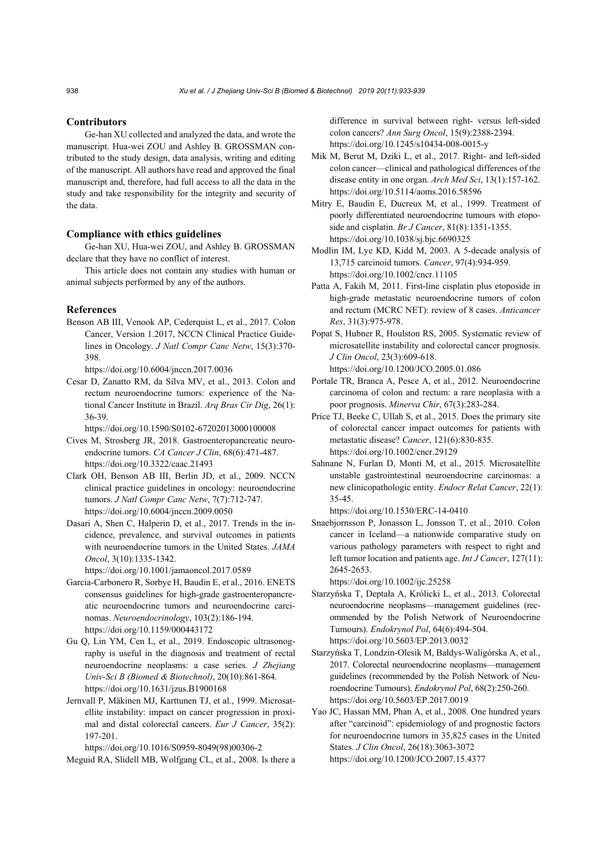#### **Contributors**

Ge-han XU collected and analyzed the data, and wrote the manuscript. Hua-wei ZOU and Ashley B. GROSSMAN contributed to the study design, data analysis, writing and editing of the manuscript. All authors have read and approved the final manuscript and, therefore, had full access to all the data in the study and take responsibility for the integrity and security of the data.

#### **Compliance with ethics guidelines**

Ge-han XU, Hua-wei ZOU, and Ashley B. GROSSMAN declare that they have no conflict of interest.

This article does not contain any studies with human or animal subjects performed by any of the authors.

#### **References**

Benson AB III, Venook AP, Cederquist L, et al., 2017. Colon Cancer, Version 1.2017, NCCN Clinical Practice Guidelines in Oncology. *J Natl Compr Canc Netw*, 15(3):370- 398.

https://doi.org/10.6004/jnccn.2017.0036

Cesar D, Zanatto RM, da Silva MV, et al., 2013. Colon and rectum neuroendocrine tumors: experience of the National Cancer Institute in Brazil. *Arq Bras Cir Dig*, 26(1): 36-39.

https://doi.org/10.1590/S0102-67202013000100008

- Cives M, Strosberg JR, 2018. Gastroenteropancreatic neuroendocrine tumors. *CA Cancer J Clin*, 68(6):471-487. https://doi.org/10.3322/caac.21493
- Clark OH, Benson AB III, Berlin JD, et al., 2009. NCCN clinical practice guidelines in oncology: neuroendocrine tumors. *J Natl Compr Canc Netw*, 7(7):712-747. https://doi.org/10.6004/jnccn.2009.0050
- Dasari A, Shen C, Halperin D, et al., 2017. Trends in the incidence, prevalence, and survival outcomes in patients with neuroendocrine tumors in the United States. *JAMA Oncol*, 3(10):1335-1342.

https://doi.org/10.1001/jamaoncol.2017.0589

- Garcia-Carbonero R, Sorbye H, Baudin E, et al., 2016. ENETS consensus guidelines for high-grade gastroenteropancreatic neuroendocrine tumors and neuroendocrine carcinomas. *Neuroendocrinology*, 103(2):186-194. https://doi.org/10.1159/000443172
- Gu Q, Lin YM, Cen L, et al., 2019. Endoscopic ultrasonography is useful in the diagnosis and treatment of rectal neuroendocrine neoplasms: a case series. *J Zhejiang Univ-Sci B (Biomed & Biotechnol)*, 20(10):861-864. https://doi.org/10.1631/jzus.B1900168
- Jernvall P, Mäkinen MJ, Karttunen TJ, et al., 1999. Microsatellite instability: impact on cancer progression in proximal and distal colorectal cancers. *Eur J Cancer*, 35(2): 197-201.

https://doi.org/10.1016/S0959-8049(98)00306-2

Meguid RA, Slidell MB, Wolfgang CL, et al., 2008. Is there a

difference in survival between right- versus left-sided colon cancers? *Ann Surg Oncol*, 15(9):2388-2394. https://doi.org/10.1245/s10434-008-0015-y

- Mik M, Berut M, Dziki L, et al., 2017. Right- and left-sided colon cancer—clinical and pathological differences of the disease entity in one organ. *Arch Med Sci*, 13(1):157-162. https://doi.org/10.5114/aoms.2016.58596
- Mitry E, Baudin E, Ducreux M, et al., 1999. Treatment of poorly differentiated neuroendocrine tumours with etoposide and cisplatin. *Br J Cancer*, 81(8):1351-1355. https://doi.org/10.1038/sj.bjc.6690325
- Modlin IM, Lye KD, Kidd M, 2003. A 5-decade analysis of 13,715 carcinoid tumors. *Cancer*, 97(4):934-959. https://doi.org/10.1002/cncr.11105
- Patta A, Fakih M, 2011. First-line cisplatin plus etoposide in high-grade metastatic neuroendocrine tumors of colon and rectum (MCRC NET): review of 8 cases. *Anticancer Res*, 31(3):975-978.
- Popat S, Hubner R, Houlston RS, 2005. Systematic review of microsatellite instability and colorectal cancer prognosis. *J Clin Oncol*, 23(3):609-618.
	- https://doi.org/10.1200/JCO.2005.01.086
- Portale TR, Branca A, Pesce A, et al., 2012. Neuroendocrine carcinoma of colon and rectum: a rare neoplasia with a poor prognosis. *Minerva Chir*, 67(3):283-284.
- Price TJ, Beeke C, Ullah S, et al., 2015. Does the primary site of colorectal cancer impact outcomes for patients with metastatic disease? *Cancer*, 121(6):830-835. https://doi.org/10.1002/cncr.29129
- Sahnane N, Furlan D, Monti M, et al., 2015. Microsatellite unstable gastrointestinal neuroendocrine carcinomas: a new clinicopathologic entity. *Endocr Relat Cancer*, 22(1): 35-45.

https://doi.org/10.1530/ERC-14-0410

Snaebjornsson P, Jonasson L, Jonsson T, et al., 2010. Colon cancer in Iceland—a nationwide comparative study on various pathology parameters with respect to right and left tumor location and patients age. *Int J Cancer*, 127(11): 2645-2653.

https://doi.org/10.1002/ijc.25258

- Starzyńska T, Deptała A, Królicki L, et al., 2013. Colorectal neuroendocrine neoplasms—management guidelines (recommended by the Polish Network of Neuroendocrine Tumours). *Endokrynol Pol*, 64(6):494-504. https://doi.org/10.5603/EP.2013.0032
- Starzyńska T, Londzin-Olesik M, Bałdys-Waligórska A, et al., 2017. Colorectal neuroendocrine neoplasms—management guidelines (recommended by the Polish Network of Neuroendocrine Tumours). *Endokrynol Pol*, 68(2):250-260. https://doi.org/10.5603/EP.2017.0019
- Yao JC, Hassan MM, Phan A, et al., 2008. One hundred years after "carcinoid": epidemiology of and prognostic factors for neuroendocrine tumors in 35,825 cases in the United States. *J Clin Oncol*, 26(18):3063-3072 https://doi.org/10.1200/JCO.2007.15.4377